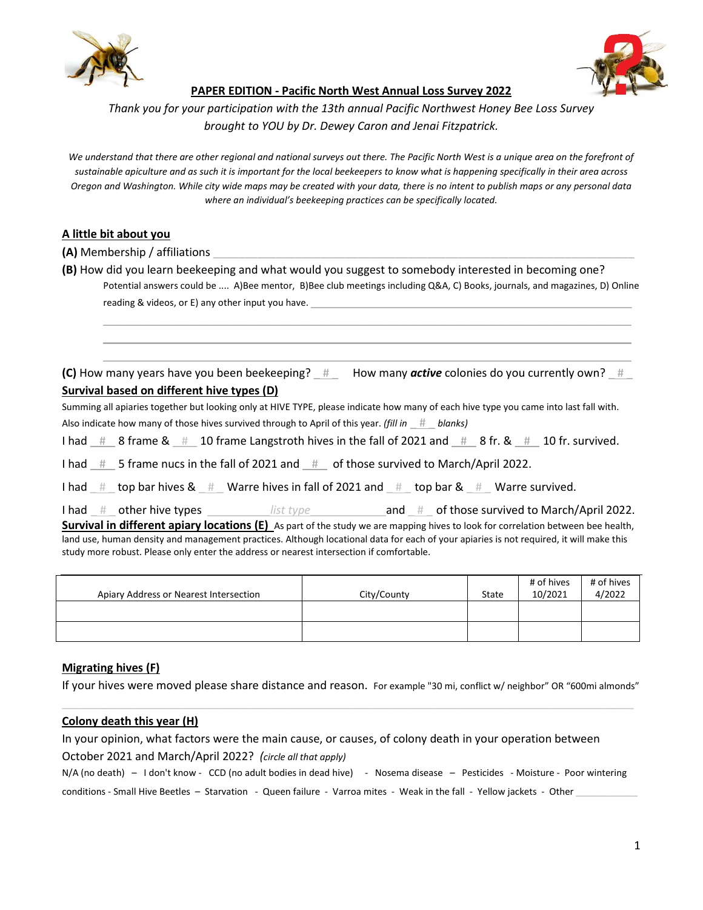



**PAPER EDITION - Pacific North West Annual Loss Survey 2022** 

*Thank you for your participation with the 13th annual Pacific Northwest Honey Bee Loss Survey brought to YOU by Dr. Dewey Caron and Jenai Fitzpatrick.* 

*We understand that there are other regional and national surveys out there. The Pacific North West is a unique area on the forefront of sustainable apiculture and as such it is important for the local beekeepers to know what is happening specifically in their area across Oregon and Washington. While city wide maps may be created with your data, there is no intent to publish maps or any personal data where an individual's beekeeping practices can be specifically located.* 

### **A little bit about you**

- **(A)** Membership / affiliations
- **(B)** How did you learn beekeeping and what would you suggest to somebody interested in becoming one? Potential answers could be .... A)Bee mentor, B)Bee club meetings including Q&A, C) Books, journals, and magazines, D) Online reading & videos, or E) any other input you have.

 $\_$  , and the state of the state of the state of the state of the state of the state of the state of the state of the state of the state of the state of the state of the state of the state of the state of the state of the  $\_$  , and the state of the state of the state of the state of the state of the state of the state of the state of the state of the state of the state of the state of the state of the state of the state of the state of the  $\_$  , and the state of the state of the state of the state of the state of the state of the state of the state of the state of the state of the state of the state of the state of the state of the state of the state of the

**(C)** How many years have you been beekeeping?  $#$  How many *active* colonies do you currently own?  $#$ **Survival based on different hive types (D)** 

Summing all apiaries together but looking only at HIVE TYPE, please indicate how many of each hive type you came into last fall with. Also indicate how many of those hives survived through to April of this year. *(fill in* \_ # \_ *blanks)*

I had  $\pm$  8 frame &  $\pm$  10 frame Langstroth hives in the fall of 2021 and  $\pm$  8 fr. &  $\pm$  10 fr. survived.

I had  $#$  5 frame nucs in the fall of 2021 and  $#$  of those survived to March/April 2022.

I had  $\#$  top bar hives &  $\#$  Warre hives in fall of 2021 and  $\#$  top bar &  $\#$  Warre survived.

I had \_#\_\_other hive types \_\_\_\_\_\_\_\_\_\_\_\_*list type* \_\_\_\_\_\_\_\_\_\_\_\_\_\_\_and \_#\_\_of those survived to March/April 2022. **Survival in different apiary locations (E)** As part of the study we are mapping hives to look for correlation between bee health, land use, human density and management practices. Although locational data for each of your apiaries is not required, it will make this study more robust. Please only enter the address or nearest intersection if comfortable.

| Apiary Address or Nearest Intersection | City/County | State | # of hives<br>10/2021 | # of hives<br>4/2022 |
|----------------------------------------|-------------|-------|-----------------------|----------------------|
|                                        |             |       |                       |                      |
|                                        |             |       |                       |                      |

#### **Migrating hives (F)**

If your hives were moved please share distance and reason. For example "30 mi, conflict w/ neighbor" OR "600mi almonds" \_\_\_\_\_\_\_\_\_\_\_\_\_\_\_\_\_\_\_\_\_\_\_\_\_\_\_\_\_\_\_\_\_\_\_\_\_\_\_\_\_\_\_\_\_\_\_\_\_\_\_\_\_\_\_\_\_\_\_\_\_\_\_\_\_\_\_\_\_\_\_\_\_\_\_\_\_\_\_\_\_\_\_\_\_\_\_\_\_\_\_

#### **Colony death this year (H)**

In your opinion, what factors were the main cause, or causes, of colony death in your operation between October 2021 and March/April 2022? *(circle all that apply)*

N/A (no death) - I don't know - CCD (no adult bodies in dead hive) - Nosema disease - Pesticides - Moisture - Poor wintering conditions - Small Hive Beetles – Starvation - Queen failure - Varroa mites - Weak in the fall - Yellow jackets - Other **\_\_\_\_\_\_\_\_\_\_\_\_**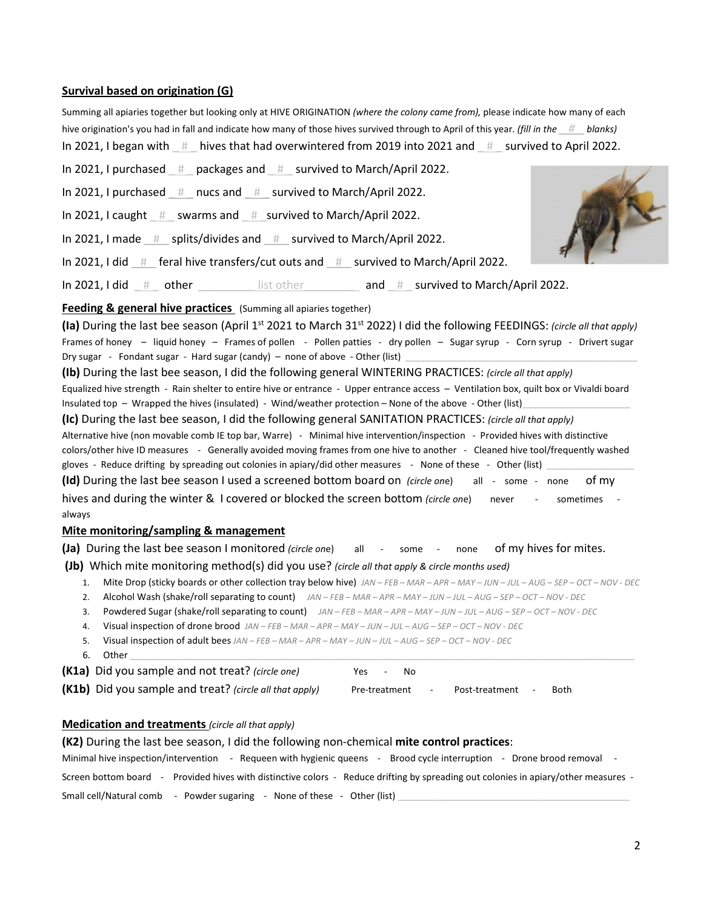#### **Survival based on origination (G)**

| Summing all apiaries together but looking only at HIVE ORIGINATION (where the colony came from), please indicate how many of each        |                                                                                                                           |
|------------------------------------------------------------------------------------------------------------------------------------------|---------------------------------------------------------------------------------------------------------------------------|
| hive origination's you had in fall and indicate how many of those hives survived through to April of this year. (fill in the $#$ blanks) |                                                                                                                           |
| In 2021, I began with $#$ hives that had overwintered from 2019 into 2021 and $#$ survived to April 2022.                                |                                                                                                                           |
| In 2021, I purchased # packages and # survived to March/April 2022.                                                                      |                                                                                                                           |
| In 2021, I purchased # nucs and # survived to March/April 2022.                                                                          |                                                                                                                           |
| In 2021, I caught # _ swarms and # _ survived to March/April 2022.                                                                       |                                                                                                                           |
| In 2021, I made # splits/divides and # survived to March/April 2022.                                                                     |                                                                                                                           |
| In 2021, I did $\pm$ feral hive transfers/cut outs and $\pm$ survived to March/April 2022.                                               |                                                                                                                           |
| In 2021, I did $#$ other $\qquad$ list other and $#$ survived to March/April 2022.                                                       |                                                                                                                           |
| Feeding & general hive practices (Summing all apiaries together)                                                                         |                                                                                                                           |
|                                                                                                                                          | (la) During the last bee season (April 1st 2021 to March 31st 2022) I did the following FEEDINGS: (circle all that apply) |
| Frames of honey - liquid honey - Frames of pollen - Pollen patties - dry pollen - Sugar syrup - Corn syrup - Drivert sugar               |                                                                                                                           |
| Dry sugar - Fondant sugar - Hard sugar (candy) – none of above - Other (list)                                                            |                                                                                                                           |
| (Ib) During the lost has consent did the following general WINITEDING DDACTICES (starts all that we the                                  |                                                                                                                           |

**(Ib)** During the last bee season, I did the following general WINTERING PRACTICES: *(circle all that apply)* Equalized hive strength - Rain shelter to entire hive or entrance - Upper entrance access – Ventilation box, quilt box or Vivaldi board Insulated top – Wrapped the hives (insulated) - Wind/weather protection – None of the above - Other (list)

**(Ic)** During the last bee season, I did the following general SANITATION PRACTICES: *(circle all that apply)* Alternative hive (non movable comb IE top bar, Warre) - Minimal hive intervention/inspection - Provided hives with distinctive colors/other hive ID measures - Generally avoided moving frames from one hive to another - Cleaned hive tool/frequently washed gloves - Reduce drifting by spreading out colonies in apiary/did other measures - None of these - Other (list)

**(Id)** During the last bee season I used a screened bottom board on *(circle on*e) all - some - none of my hives and during the winter & I covered or blocked the screen bottom (circle one) never - sometimes always

#### **Mite monitoring/sampling & management**

**(Ja)** During the last bee season I monitored *(circle on*e) all - some - none of my hives for mites.

 **(Jb)** Which mite monitoring method(s) did you use? *(circle all that apply & circle months used)*

- 1. Mite Drop (sticky boards or other collection tray below hive) *JAN FEB MAR APR MAY JUN JUL AUG SEP OCT NOV DEC*
- 2. Alcohol Wash (shake/roll separating to count) *JAN FEB MAR APR MAY JUN JUL AUG SEP OCT NOV DEC*
- 3. Powdered Sugar (shake/roll separating to count) *JAN FEB MAR APR MAY JUN JUL AUG SEP OCT NOV DEC*
- 4. Visual inspection of drone brood *JAN FEB MAR APR MAY JUN JUL AUG SEP OCT NOV DEC*
- 5. Visual inspection of adult bees *JAN FEB MAR APR MAY JUN JUL AUG SEP OCT NOV DEC*
- 6. Other **\_\_\_\_\_\_\_\_\_\_\_\_\_\_\_\_\_\_\_\_\_\_\_\_\_\_\_\_\_\_\_\_\_\_\_\_\_\_\_\_\_\_\_\_\_\_\_\_\_\_\_\_\_\_\_\_\_\_\_\_\_\_\_\_\_\_\_\_\_\_\_\_\_\_\_\_\_\_\_\_\_\_\_\_\_\_\_\_\_\_\_\_\_\_\_\_\_\_**

| (K1a) Did you sample and not treat? (circle one)        | Yes<br>$\sim$ | N∩ |                |                          |      |
|---------------------------------------------------------|---------------|----|----------------|--------------------------|------|
| (K1b) Did you sample and treat? (circle all that apply) | Pre-treatment |    | Post-treatment | $\overline{\phantom{0}}$ | Both |

## **Medication and treatments** *(circle all that apply)*

| (K2) During the last bee season, I did the following non-chemical mite control practices:                                                          |
|----------------------------------------------------------------------------------------------------------------------------------------------------|
| Minimal hive inspection/intervention - Requeen with hygienic queens -<br>Brood cycle interruption - Drone brood removal                            |
| Provided hives with distinctive colors - Reduce drifting by spreading out colonies in apiary/other measures -<br>Screen bottom board<br>$\sim 100$ |
| Small cell/Natural comb - Powder sugaring - None of these - Other (list)                                                                           |